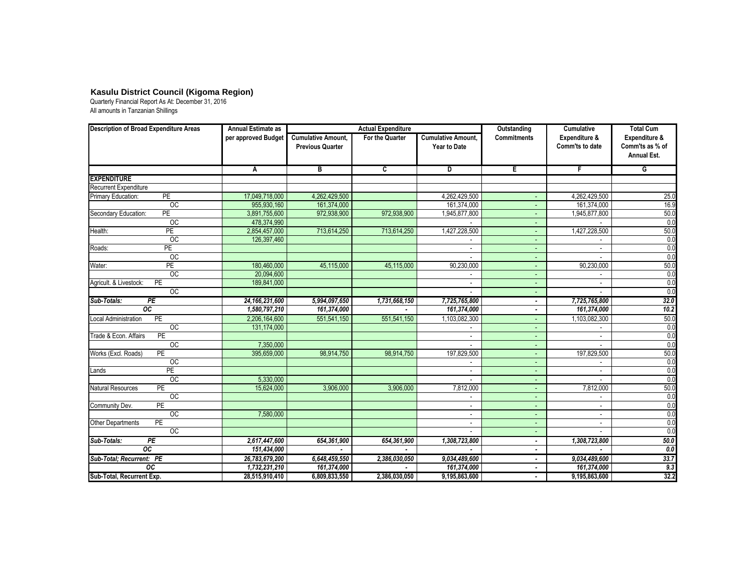## **Kasulu District Council (Kigoma Region)**

Quarterly Financial Report As At: December 31, 2016 All amounts in Tanzanian Shillings

| <b>Description of Broad Expenditure Areas</b> | Annual Estimate as<br>per approved Budget | <b>Actual Expenditure</b>                            |                 |                                           | Outstanding              | <b>Cumulative</b>                | <b>Total Cum</b>                                       |
|-----------------------------------------------|-------------------------------------------|------------------------------------------------------|-----------------|-------------------------------------------|--------------------------|----------------------------------|--------------------------------------------------------|
|                                               |                                           | <b>Cumulative Amount.</b><br><b>Previous Quarter</b> | For the Quarter | <b>Cumulative Amount,</b><br>Year to Date | <b>Commitments</b>       | Expenditure &<br>Comm'ts to date | Expenditure &<br>Comm'ts as % of<br><b>Annual Est.</b> |
|                                               | Α                                         | $\overline{B}$                                       | $\overline{c}$  | $\overline{D}$                            | E                        | $\overline{F}$                   | G                                                      |
| <b>EXPENDITURE</b>                            |                                           |                                                      |                 |                                           |                          |                                  |                                                        |
| Recurrent Expenditure                         |                                           |                                                      |                 |                                           |                          |                                  |                                                        |
| PE<br>Primary Education:                      | 17,049,718,000                            | 4,262,429,500                                        |                 | 4,262,429,500                             |                          | 4,262,429,500                    | 25.0                                                   |
| $\overline{OC}$                               | 955,930,160                               | 161,374,000                                          |                 | 161,374,000                               |                          | 161,374,000                      | 16.9                                                   |
| PE<br>Secondary Education:                    | 3,891,755,600                             | 972,938,900                                          | 972,938,900     | 1,945,877,800                             |                          | 1,945,877,800                    | 50.0                                                   |
| $\overline{OC}$                               | 478,374,990                               |                                                      |                 |                                           |                          |                                  | 0.0                                                    |
| Health:<br>PE                                 | 2,854,457,000                             | 713,614,250                                          | 713,614,250     | 1,427,228,500                             |                          | 1,427,228,500                    | 50.0                                                   |
| $_{\rm OC}$                                   | 126,397,460                               |                                                      |                 |                                           | $\sim$                   |                                  | 0.0                                                    |
| PE<br>Roads:                                  |                                           |                                                      |                 | $\sim$                                    | ٠                        | $\sim$                           | 0.0                                                    |
| $\overline{OC}$                               |                                           |                                                      |                 |                                           |                          |                                  | 0.0                                                    |
| <b>PE</b><br>Water:                           | 180,460,000                               | 45,115,000                                           | 45,115,000      | 90,230,000                                |                          | 90,230,000                       | 50.0                                                   |
| $\overline{OC}$                               | 20,094,600                                |                                                      |                 | $\overline{\phantom{a}}$                  | ٠                        |                                  | 0.0                                                    |
| PE<br>Agricult. & Livestock:                  | 189,841,000                               |                                                      |                 | $\blacksquare$                            | ٠                        | $\blacksquare$                   | 0.0                                                    |
| OC                                            |                                           |                                                      |                 |                                           | ٠                        |                                  | 0.0                                                    |
| Sub-Totals:<br>PE                             | 24, 166, 231, 600                         | 5,994,097,650                                        | 1,731,668,150   | 7,725,765,800                             | ۰                        | 7,725,765,800                    | 32.0                                                   |
| $\overline{oc}$                               | 1,580,797,210                             | 161,374,000                                          |                 | 161,374,000                               |                          | 161,374,000                      | 10.2                                                   |
| <b>PE</b><br>Local Administration             | 2,206,164,600                             | 551,541,150                                          | 551,541,150     | 1,103,082,300                             |                          | 1,103,082,300                    | 50.0                                                   |
| $\overline{OC}$                               | 131,174,000                               |                                                      |                 |                                           |                          |                                  | 0.0                                                    |
| PE<br>Trade & Econ. Affairs                   |                                           |                                                      |                 | $\sim$                                    | ٠                        | ٠                                | 0.0                                                    |
| $\overline{OC}$                               | 7,350,000                                 |                                                      |                 |                                           |                          |                                  | 0.0                                                    |
| PE<br>Works (Excl. Roads)                     | 395,659,000                               | 98,914,750                                           | 98,914,750      | 197,829,500                               | ٠                        | 197,829,500                      | 50.0                                                   |
| OC                                            |                                           |                                                      |                 |                                           |                          |                                  | 0.0                                                    |
| PE<br>Lands                                   |                                           |                                                      |                 | $\sim$                                    |                          | ÷.                               | 0.0                                                    |
| OC                                            | 5,330,000                                 |                                                      |                 |                                           | ٠                        |                                  | 0.0                                                    |
| PE<br><b>Natural Resources</b>                | 15,624,000                                | 3,906,000                                            | 3,906,000       | 7,812,000                                 | $\overline{\phantom{a}}$ | 7,812,000                        | 50.0                                                   |
| OC                                            |                                           |                                                      |                 | $\sim$                                    |                          | $\sim$                           | 0.0                                                    |
| PE<br>Community Dev.                          |                                           |                                                      |                 |                                           |                          |                                  | 0.0                                                    |
| OC                                            | 7,580,000                                 |                                                      |                 | ÷.                                        | $\sim$                   | ÷.                               | 0.0                                                    |
| <b>PE</b><br><b>Other Departments</b>         |                                           |                                                      |                 | $\overline{\phantom{a}}$                  | $\overline{\phantom{a}}$ | $\sim$                           | 0.0                                                    |
| OC                                            |                                           |                                                      |                 |                                           | $\overline{\phantom{a}}$ |                                  | 0.0                                                    |
| Sub-Totals:<br>$\overline{PE}$                | 2,617,447,600                             | 654,361,900                                          | 654,361,900     | 1,308,723,800                             | ٠                        | 1,308,723,800                    | 50.0                                                   |
| $\overline{oc}$                               | 151,434,000                               |                                                      |                 |                                           | ۰                        |                                  | $\overline{0.0}$                                       |
| Sub-Total; Recurrent: PE                      | 26,783,679,200                            | 6,648,459,550                                        | 2,386,030,050   | 9,034,489,600                             | ٠                        | 9,034,489,600                    | 33.7                                                   |
| $\overline{oc}$                               | 1,732,231,210                             | 161,374,000                                          |                 | 161,374,000                               |                          | 161,374,000                      | 9.3                                                    |
| Sub-Total, Recurrent Exp.                     | 28,515,910,410                            | 6,809,833,550                                        | 2,386,030,050   | 9,195,863,600                             |                          | 9,195,863,600                    | 32.2                                                   |